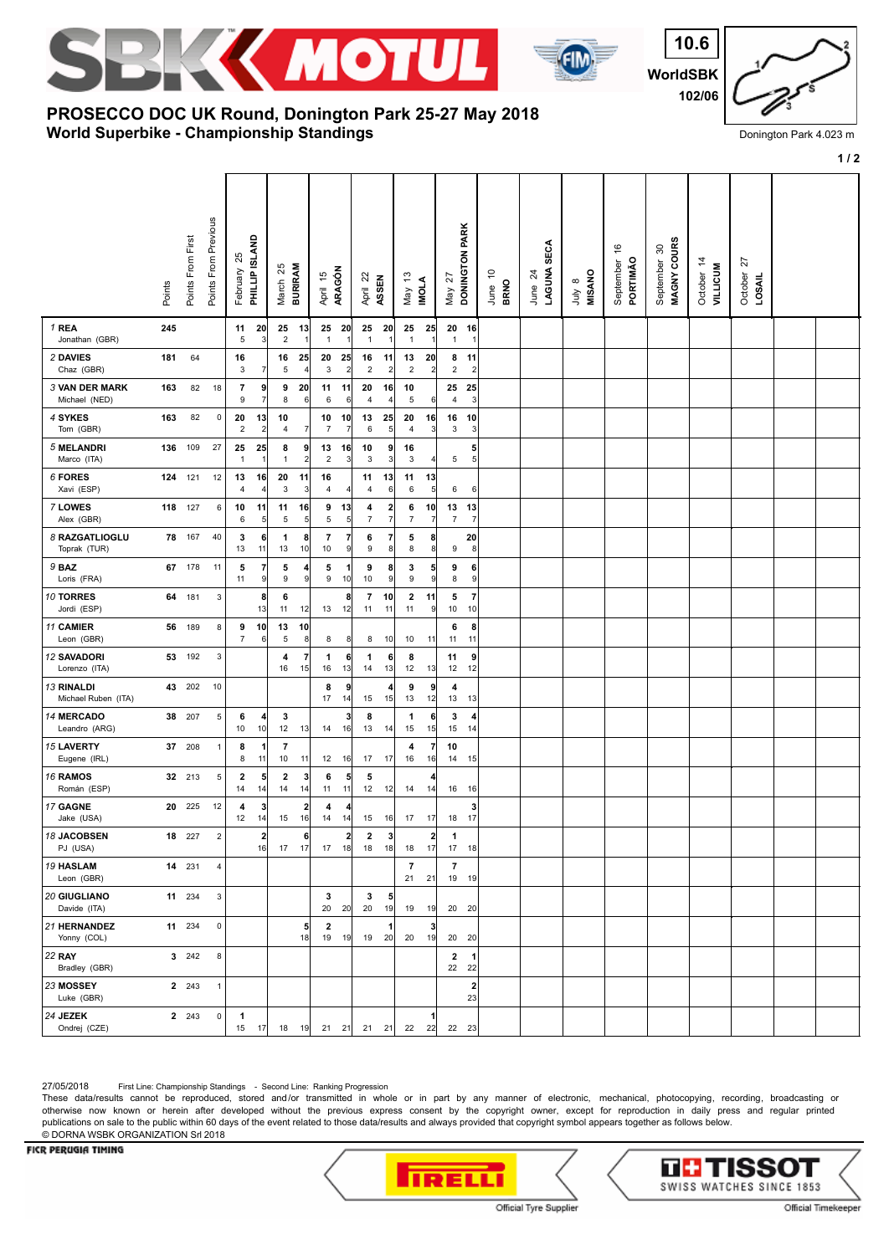



**WorldSBK 10.6 102/06**

## **World Superbike - Championship Standings PROSECCO DOC UK Round, Donington Park 25-27 May 2018**

Donington Park 4.023 m

|                                        |        |                   |                           |                               |                               |                               |                      |                                 |                                        |                               |                               |                      |                              | $1/2$                         |                                 |                        |                  |                             |                             |                               |                         |  |
|----------------------------------------|--------|-------------------|---------------------------|-------------------------------|-------------------------------|-------------------------------|----------------------|---------------------------------|----------------------------------------|-------------------------------|-------------------------------|----------------------|------------------------------|-------------------------------|---------------------------------|------------------------|------------------|-----------------------------|-----------------------------|-------------------------------|-------------------------|--|
|                                        | Points | Points From First | Points From Previous      | 25<br>February                | PHILLIP ISLAND                | 25<br><b>BURIRAM</b><br>March |                      | ARAGÓN<br>April 15              | April 22                               | ASSEN                         | $\frac{1}{2}$<br>Vay          | <b>INOLA</b>         | 27<br>May                    | DONINGTON PARK                | <u>۽</u><br><b>BRNO</b><br>June | June 24<br>LAGUNA SECA | July 8<br>MISANO | \$<br>September<br>PORTIMÃO | MAGNY COURS<br>September 30 | October 14<br><b>AILTICIM</b> | 27<br>October<br>LOSAIL |  |
| 1 REA<br>Jonathan (GBR)                | 245    |                   |                           | 11<br>5                       | 20<br>3                       | 25<br>$\sqrt{2}$              | - 13<br>1            | 25<br>20<br>$\mathbf{1}$        | 25<br>$\mathbf{1}$                     | 20<br>÷,                      | 25<br>$\overline{1}$          | 25                   | 20<br>$\mathbf{1}$           | 16<br>$\overline{1}$          |                                 |                        |                  |                             |                             |                               |                         |  |
| 2 DAVIES<br>Chaz (GBR)                 | 181    | 64                |                           | 16<br>3                       | 7                             | 16<br>5                       | 25<br>$\vert$        | 20<br>25<br>3                   | 16<br>$\overline{2}$<br>$\overline{a}$ | 11<br>$\overline{\mathbf{c}}$ | 13<br>$\overline{2}$          | 20<br>$\overline{2}$ | 8<br>$\overline{\mathbf{c}}$ | 11<br>$\overline{c}$          |                                 |                        |                  |                             |                             |                               |                         |  |
| <b>3 VAN DER MARK</b><br>Michael (NED) | 163    | 82                | 18                        | 7<br>9                        | 9<br>$\overline{7}$           | 9<br>8                        | 20<br>6              | 11<br>11<br>6                   | 20<br>6<br>4                           | 16<br>£,                      | 10<br>$\sqrt{5}$              | 6                    | 25<br>$\overline{4}$         | 25<br>3                       |                                 |                        |                  |                             |                             |                               |                         |  |
| 4 SYKES<br>Tom (GBR)                   | 163    | 82                | 0                         | 20<br>$\sqrt{2}$              | 13<br>$\overline{\mathbf{c}}$ | 10<br>$\overline{4}$          | 7                    | 10<br>10<br>$\overline{7}$<br>7 | 13<br>6                                | 25<br>5                       | 20<br>$\overline{4}$          | 16<br>3              | 16<br>3                      | 10<br>3                       |                                 |                        |                  |                             |                             |                               |                         |  |
| 5 MELANDRI<br>Marco (ITA)              | 136    | 109               | 27                        | 25<br>$\overline{1}$          | 25<br>$\overline{1}$          | 8<br>$\mathbf{1}$             | 9<br>$\overline{2}$  | 13<br>16<br>$\sqrt{2}$          | 10<br>$\mathbf{3}$<br>$\mathbf{3}$     | 9<br>$\overline{\mathbf{3}}$  | 16<br>3                       | 4                    | 5                            | 5<br>5 <sub>5</sub>           |                                 |                        |                  |                             |                             |                               |                         |  |
| 6 FORES<br>Xavi (ESP)                  |        | 124 121           | 12                        | 13<br>$\overline{4}$          | 16<br>$\overline{4}$          | 20<br>3                       | 11<br> 3             | 16<br>4<br>4                    | 11<br>$\overline{4}$                   | 13<br>6                       | 11<br>$\,6\,$                 | 13<br>5              | 6                            | 6                             |                                 |                        |                  |                             |                             |                               |                         |  |
| 7 LOWES<br>Alex (GBR)                  | 118    | 127               | 6                         | 10<br>6                       | 11<br>5                       | 11<br>5                       | 16<br>5 <sup>5</sup> | 9<br>13<br>5                    | 4<br>$\overline{7}$<br>5               | 2<br>$\overline{7}$           | 6<br>$\overline{7}$           | 10<br>7              | 13<br>$\overline{7}$         | 13<br>7                       |                                 |                        |                  |                             |                             |                               |                         |  |
| 8 RAZGATLIOGLU<br>Toprak (TUR)         |        | 78 167            | 40                        | 3<br>13                       | 6<br>11                       | 1<br>13                       | 8<br>10              | 7<br>7<br>10                    | 6<br>9<br>9                            | 7<br>8 <sup>8</sup>           | 5<br>8                        | 8<br>8               | 9                            | 20<br>8                       |                                 |                        |                  |                             |                             |                               |                         |  |
| 9 BAZ<br>Loris (FRA)                   |        | 67 178            | 11                        | 5<br>11                       | 7<br>9                        | 5<br>$\boldsymbol{9}$         | $\vert$<br> 9        | 5<br>$\boldsymbol{9}$<br>10     | 9<br>$10$                              | 8<br>9                        | 3<br>$\boldsymbol{9}$         | 5<br>9               | 9<br>8                       | 6<br>9                        |                                 |                        |                  |                             |                             |                               |                         |  |
| 10 TORRES<br>Jordi (ESP)               | 64     | 181               | 3                         |                               | 8<br>13                       | 6<br>11                       | 12                   | 8<br>13<br>12                   | 7<br>11                                | 10<br>11                      | $\overline{\mathbf{2}}$<br>11 | 11<br>9              | 5<br>10                      | $\overline{7}$<br>10          |                                 |                        |                  |                             |                             |                               |                         |  |
| 11 CAMIER<br>Leon (GBR)                | 56     | 189               | 8                         | 9<br>$\overline{7}$           | 10<br>6                       | 13<br>5                       | 10<br>8              | 8                               | 8<br>8                                 | 10                            | 10                            | 11                   | 6<br>11                      | 8<br>11                       |                                 |                        |                  |                             |                             |                               |                         |  |
| <b>12 SAVADORI</b><br>Lorenzo (ITA)    | 53     | 192               | 3                         |                               |                               | 4<br>16                       | $\mathbf{z}$<br>15   | 1<br>6<br>16<br>13              | 1<br>14                                | 6<br>13                       | 8<br>12                       | 13                   | 11<br>12                     | 9<br>12                       |                                 |                        |                  |                             |                             |                               |                         |  |
| 13 RINALDI<br>Michael Ruben (ITA)      | 43     | 202               | 10                        |                               |                               |                               |                      | 8<br>9<br>17<br>14              | 15                                     | 4<br>15                       | 9<br>13                       | 9<br>12              | 4<br>13                      | 13                            |                                 |                        |                  |                             |                             |                               |                         |  |
| <b>14 MERCADO</b><br>Leandro (ARG)     | 38     | 207               | 5                         | 6<br>10                       | 4<br>10                       | 3<br>12                       | 13                   | 14<br>16                        | 3<br>8<br>13                           | 14                            | $\mathbf{1}$<br>15            | 6<br>15              | 3<br>15                      | 4<br>14                       |                                 |                        |                  |                             |                             |                               |                         |  |
| <b>15 LAVERTY</b><br>Eugene (IRL)      | 37     | 208               | 1                         | 8<br>8                        | 1<br>11                       | 7<br>10                       | 11                   | 12<br>16                        | 17                                     | 17                            | 4<br>16                       | 7<br>16              | 10<br>14                     | 15                            |                                 |                        |                  |                             |                             |                               |                         |  |
| 16 RAMOS<br>Román (ESP)                |        | 32 213            | 5                         | $\overline{\mathbf{2}}$<br>14 | 5<br>14                       | $\mathbf{2}$<br>14            | 3 <sup>1</sup><br>14 | 6<br>5<br>11<br>11              | 5<br>12                                | 12                            | 14                            | 14                   | 16                           | 16                            |                                 |                        |                  |                             |                             |                               |                         |  |
| 17 GAGNE<br>Jake (USA)                 | 20     | 225               | 12                        | 4<br>12                       | 3<br>14                       | 15                            | $2\vert$<br>16       | 4<br>4<br>14<br>14              |                                        | 15 16                         | $17$ $17$                     |                      | 18                           | 3<br>17                       |                                 |                        |                  |                             |                             |                               |                         |  |
| 18 JACOBSEN<br>PJ (USA)                |        | 18 227            | $\mathbf 2$               |                               | $\overline{\mathbf{2}}$<br>16 | 17                            | 6<br>17              | 17<br>18                        | $\mathbf{2}$<br>$\mathbf{2}$<br>18     | 3<br>18                       | 18                            | $\mathbf{2}$<br>17   | 1<br>17                      | 18                            |                                 |                        |                  |                             |                             |                               |                         |  |
| <b>19 HASLAM</b><br>Leon (GBR)         |        | 14 231            | 4                         |                               |                               |                               |                      |                                 |                                        |                               | $\overline{7}$<br>21          | 21                   | $\overline{7}$<br>19         | 19                            |                                 |                        |                  |                             |                             |                               |                         |  |
| 20 GIUGLIANO<br>Davide (ITA)           |        | 11 234            | $\ensuremath{\mathsf{3}}$ |                               |                               |                               |                      | 3<br>20<br>20                   | 3<br>20                                | 5<br>19                       | 19                            | 19                   | 20                           | 20                            |                                 |                        |                  |                             |                             |                               |                         |  |
| 21 HERNANDEZ<br>Yonny (COL)            |        | 11 234            | $\pmb{0}$                 |                               |                               |                               | 5 <sub>l</sub><br>18 | $\mathbf{2}$<br>19<br>19        | 19                                     | 1<br>20                       | 20                            | 3<br>19              | 20                           | 20                            |                                 |                        |                  |                             |                             |                               |                         |  |
| <b>22 RAY</b><br>Bradley (GBR)         |        | 3 242             | 8                         |                               |                               |                               |                      |                                 |                                        |                               |                               |                      | $\mathbf{2}$<br>22           | $\mathbf 1$<br>22             |                                 |                        |                  |                             |                             |                               |                         |  |
| 23 MOSSEY<br>Luke (GBR)                |        | 2 2 4 3           | $\mathbf{1}$              |                               |                               |                               |                      |                                 |                                        |                               |                               |                      |                              | $\overline{\mathbf{2}}$<br>23 |                                 |                        |                  |                             |                             |                               |                         |  |
| 24 JEZEK<br>Ondrej (CZE)               |        | 2 243             | $\pmb{0}$                 | 1<br>15                       | 17                            | $18$ $19$                     |                      | 21 21                           |                                        | 21 21                         |                               | 22 22                |                              | 22 23                         |                                 |                        |                  |                             |                             |                               |                         |  |

27/05/2018 First Line: Championship Standings - Second Line: Ranking Progression

These data/results cannot be reproduced, stored and/or transmitted in whole or in part by any manner of electronic, mechanical, photocopying, recording, broadcasting or otherwise now known or herein after developed without the previous express consent by the copyright owner, except for reproduction in daily press and regular printed publications on sale to the public within 60 days of the event related to those data/results and always provided that copyright symbol appears together as follows below. © DORNA WSBK ORGANIZATION Srl 2018

## FICR PERUGIA TIMING